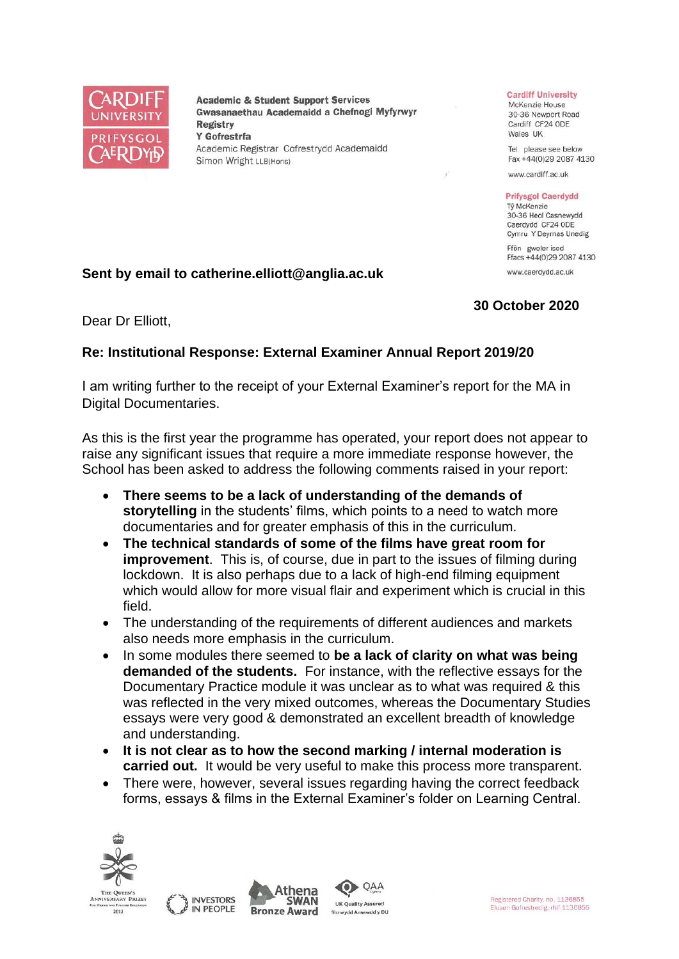

**Academic & Student Support Services** Gwasanaethau Academaidd a Chefnogi Myfyrwyr Registry Y Gofrestrfa Academic Registrar Cofrestrydd Academaidd Simon Wright LLB(Hons)

#### **Cardiff University**

McKenzie House 30-36 Newport Road Cardiff CF24 ODE Wales UK

Tel please see below Fax +44(0)29 2087 4130

www.cardiff.ac.uk

#### **Prifysgol Caerdydd**

Tỷ McKenzie 30-36 Heol Casnewydd Caerdydd CF24 ODE Cymru Y Deyrnas Unedig Ffôn gweler isod

Ffacs +44(0)29 2087 4130 www.caerdydd.ac.uk

## **Sent by email to catherine.elliott@anglia.ac.uk**

## **30 October 2020**

Dear Dr Elliott,

# **Re: Institutional Response: External Examiner Annual Report 2019/20**

I am writing further to the receipt of your External Examiner's report for the MA in Digital Documentaries.

As this is the first year the programme has operated, your report does not appear to raise any significant issues that require a more immediate response however, the School has been asked to address the following comments raised in your report:

- **There seems to be a lack of understanding of the demands of storytelling** in the students' films, which points to a need to watch more documentaries and for greater emphasis of this in the curriculum.
- **The technical standards of some of the films have great room for improvement**. This is, of course, due in part to the issues of filming during lockdown. It is also perhaps due to a lack of high-end filming equipment which would allow for more visual flair and experiment which is crucial in this field.
- The understanding of the requirements of different audiences and markets also needs more emphasis in the curriculum.
- In some modules there seemed to **be a lack of clarity on what was being demanded of the students.** For instance, with the reflective essays for the Documentary Practice module it was unclear as to what was required & this was reflected in the very mixed outcomes, whereas the Documentary Studies essays were very good & demonstrated an excellent breadth of knowledge and understanding.
- **It is not clear as to how the second marking / internal moderation is carried out.** It would be very useful to make this process more transparent.
- There were, however, several issues regarding having the correct feedback forms, essays & films in the External Examiner's folder on Learning Central.